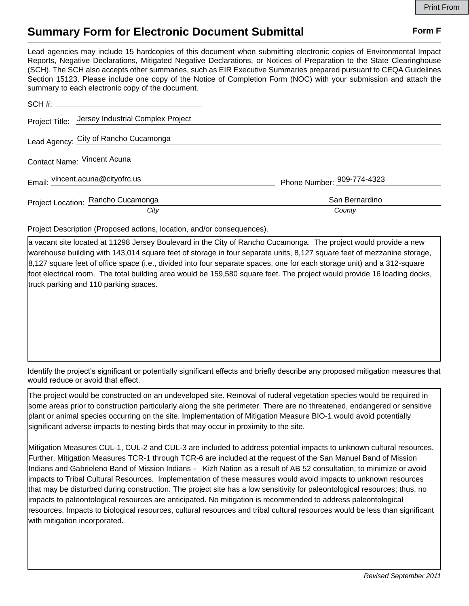## **Summary Form for Electronic Document Submittal Form F Form F**

Lead agencies may include 15 hardcopies of this document when submitting electronic copies of Environmental Impact Reports, Negative Declarations, Mitigated Negative Declarations, or Notices of Preparation to the State Clearinghouse (SCH). The SCH also accepts other summaries, such as EIR Executive Summaries prepared pursuant to CEQA Guidelines Section 15123. Please include one copy of the Notice of Completion Form (NOC) with your submission and attach the summary to each electronic copy of the document.

| Project Title: Jersey Industrial Complex Project |                            |
|--------------------------------------------------|----------------------------|
| Lead Agency: City of Rancho Cucamonga            |                            |
| Contact Name: Vincent Acuna                      |                            |
| Email: vincent.acuna@cityofrc.us                 | Phone Number: 909-774-4323 |
| Project Location: Rancho Cucamonga               | San Bernardino             |
| City                                             | County                     |

Project Description (Proposed actions, location, and/or consequences).

a vacant site located at 11298 Jersey Boulevard in the City of Rancho Cucamonga. The project would provide a new warehouse building with 143,014 square feet of storage in four separate units, 8,127 square feet of mezzanine storage, 8,127 square feet of office space (i.e., divided into four separate spaces, one for each storage unit) and a 312-square foot electrical room. The total building area would be 159,580 square feet. The project would provide 16 loading docks, truck parking and 110 parking spaces.

Identify the project's significant or potentially significant effects and briefly describe any proposed mitigation measures that would reduce or avoid that effect.

The project would be constructed on an undeveloped site. Removal of ruderal vegetation species would be required in some areas prior to construction particularly along the site perimeter. There are no threatened, endangered or sensitive plant or animal species occurring on the site. Implementation of Mitigation Measure BIO-1 would avoid potentially significant adverse impacts to nesting birds that may occur in proximity to the site.

Mitigation Measures CUL-1, CUL-2 and CUL-3 are included to address potential impacts to unknown cultural resources. Further, Mitigation Measures TCR-1 through TCR-6 are included at the request of the San Manuel Band of Mission Indians and Gabrieleno Band of Mission Indians – Kizh Nation as a result of AB 52 consultation, to minimize or avoid impacts to Tribal Cultural Resources. Implementation of these measures would avoid impacts to unknown resources that may be disturbed during construction. The project site has a low sensitivity for paleontological resources; thus, no impacts to paleontological resources are anticipated. No mitigation is recommended to address paleontological resources. Impacts to biological resources, cultural resources and tribal cultural resources would be less than significant with mitigation incorporated.